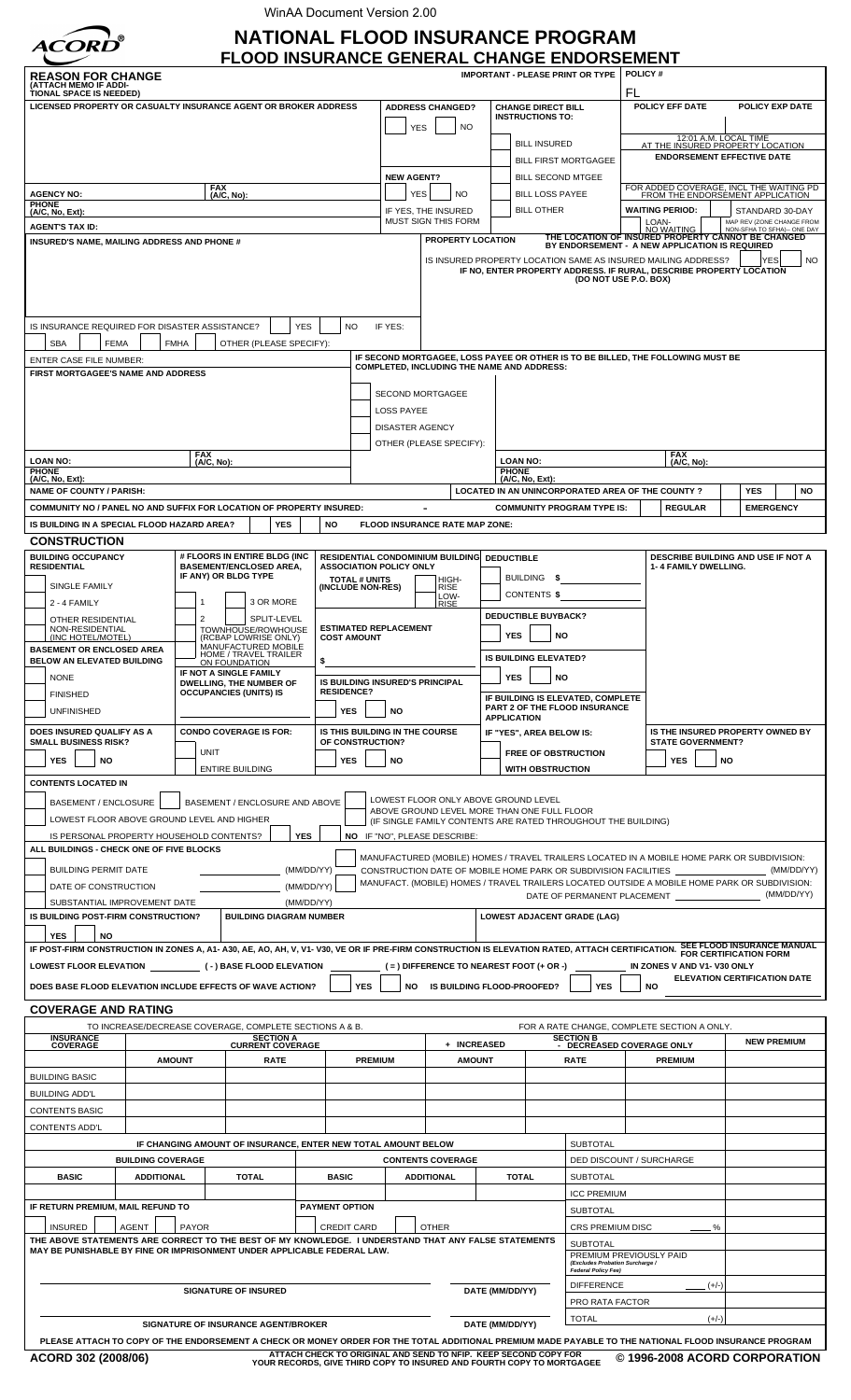WinAA Document Version 2.00



# **NATIONAL FLOOD INSURANCE PROGRAM**

| (ATTACH MEMO IF ADDI-<br>FL<br>TIONAL SPACE IS NEEDED)<br>LICENSED PROPERTY OR CASUALTY INSURANCE AGENT OR BROKER ADDRESS<br><b>ADDRESS CHANGED?</b><br><b>CHANGE DIRECT BILL</b><br>POLICY EFF DATE<br><b>INSTRUCTIONS TO:</b><br><b>NO</b><br>YES<br>12:01 A.M. LOCAL TIME<br>AT THE INSURED PROPERTY LOCATION<br><b>BILL INSURED</b><br><b>ENDORSEMENT EFFECTIVE DATE</b><br><b>BILL FIRST MORTGAGEE</b><br><b>BILL SECOND MTGEE</b><br><b>NEW AGENT?</b><br><b>FAX</b><br>FOR ADDED COVERAGE, INCL THE WAITING PD<br>FROM THE ENDORSEMENT APPLICATION<br><b>BILL LOSS PAYEE</b><br><b>NO</b><br><b>AGENCY NO:</b><br>(A/C, No):<br>YES<br><b>PHONE</b><br><b>BILL OTHER</b><br><b>WAITING PERIOD:</b><br>STANDARD 30-DAY<br>IF YES, THE INSURED<br>(A/C, No, Ext):<br><b>MUST SIGN THIS FORM</b><br>MAP REV (ZONE CHANGE FROM<br>LOAN-<br><b>AGENT'S TAX ID:</b><br><b>NO WAITING</b><br>NON-SFHA TO SFHA) -- ONE DAY<br>THE LOCATION OF INSURED PROPERTY CANNOT BE CHANGED<br><b>PROPERTY LOCATION</b><br>INSURED'S NAME, MAILING ADDRESS AND PHONE #<br>BY ENDORSEMENT - A NEW APPLICATION IS REQUIRED<br>IS INSURED PROPERTY LOCATION SAME AS INSURED MAILING ADDRESS?<br><b>YES</b><br>IF NO, ENTER PROPERTY ADDRESS. IF RURAL, DESCRIBE PROPERTY LOCATION<br>(DO NOT USE P.O. BOX)<br>IS INSURANCE REQUIRED FOR DISASTER ASSISTANCE?<br><b>YES</b><br>IF YES:<br><b>NO</b><br>OTHER (PLEASE SPECIFY):<br><b>SBA</b><br><b>FEMA</b><br><b>FMHA</b><br>IF SECOND MORTGAGEE, LOSS PAYEE OR OTHER IS TO BE BILLED, THE FOLLOWING MUST BE<br><b>ENTER CASE FILE NUMBER:</b><br><b>COMPLETED, INCLUDING THE NAME AND ADDRESS:</b><br>FIRST MORTGAGEE'S NAME AND ADDRESS<br><b>SECOND MORTGAGEE</b><br>LOSS PAYEE<br><b>DISASTER AGENCY</b><br>OTHER (PLEASE SPECIFY):<br><b>FAX</b><br><b>FAX</b><br><b>LOAN NO:</b><br><b>LOAN NO:</b><br>(A/C, No):<br>(A/C, No):<br><b>PHONE</b><br><b>PHONE</b><br>(A/C, No, Ext):<br>(A/C, No, Ext):<br><b>NAME OF COUNTY / PARISH:</b><br>LOCATED IN AN UNINCORPORATED AREA OF THE COUNTY?<br><b>YES</b><br>COMMUNITY NO / PANEL NO AND SUFFIX FOR LOCATION OF PROPERTY INSURED:<br><b>REGULAR</b><br><b>COMMUNITY PROGRAM TYPE IS:</b><br><b>EMERGENCY</b><br>IS BUILDING IN A SPECIAL FLOOD HAZARD AREA?<br><b>YES</b><br>FLOOD INSURANCE RATE MAP ZONE:<br>NO<br><b>CONSTRUCTION</b><br><b>BUILDING OCCUPANCY</b><br># FLOORS IN ENTIRE BLDG (INC<br><b>RESIDENTIAL CONDOMINIUM BUILDING</b><br><b>DEDUCTIBLE</b><br>DESCRIBE BUILDING AND USE IF NOT A<br><b>BASEMENT/ENCLOSED AREA,</b><br><b>RESIDENTIAL</b><br><b>ASSOCIATION POLICY ONLY</b><br>1-4 FAMILY DWELLING.<br>IF ANY) OR BLDG TYPE<br>BUILDING<br>-5<br><b>TOTAL # UNITS</b><br>HIGH-<br>RISE<br>SINGLE FAMILY<br>(INCLUDE NON-RES)<br>CONTENTS \$<br>LOW-<br>RISE<br>3 OR MORE<br>2 - 4 FAMILY<br><b>DEDUCTIBLE BUYBACK?</b><br>SPLIT-LEVEL<br>2<br>OTHER RESIDENTIAL<br><b>ESTIMATED REPLACEMENT</b><br>TOWNHOUSE/ROWHOUSE<br>(RCBAP LOWRISE ONLY)<br>NON-RESIDENTIAL<br><b>YES</b><br>NO<br>(INC HOTEL/MOTEL)<br><b>COST AMOUNT</b><br>MANUFACTURED MOBILE<br><b>BASEMENT OR ENCLOSED AREA</b><br>HOME / TRAVEL TRAILER<br><b>IS BUILDING ELEVATED?</b><br>BELOW AN ELEVATED BUILDING<br>\$<br>ON FOUNDATION<br>IF NOT A SINGLE FAMILY<br><b>NONE</b><br> YES <br>$ $ NO<br>IS BUILDING INSURED'S PRINCIPAL<br><b>DWELLING, THE NUMBER OF</b><br><b>RESIDENCE?</b><br><b>OCCUPANCIES (UNITS) IS</b><br><b>FINISHED</b><br>IF BUILDING IS ELEVATED, COMPLETE<br>PART 2 OF THE FLOOD INSURANCE<br><b>YES</b><br><b>NO</b><br><b>UNFINISHED</b><br><b>APPLICATION</b><br><b>CONDO COVERAGE IS FOR:</b><br>DOES INSURED QUALIFY AS A<br>IS THIS BUILDING IN THE COURSE<br>IF "YES", AREA BELOW IS:<br>OF CONSTRUCTION?<br><b>SMALL BUSINESS RISK?</b><br><b>STATE GOVERNMENT?</b><br>UNIT<br><b>FREE OF OBSTRUCTION</b><br><b>YES</b><br><b>NO</b><br><b>YES</b><br><b>NO</b><br><b>YES</b><br><b>NO</b><br><b>ENTIRE BUILDING</b><br><b>WITH OBSTRUCTION</b><br><b>CONTENTS LOCATED IN</b><br>LOWEST FLOOR ONLY ABOVE GROUND LEVEL<br><b>BASEMENT / ENCLOSURE</b><br>BASEMENT / ENCLOSURE AND ABOVE<br>ABOVE GROUND LEVEL MORE THAN ONE FULL FLOOR<br>LOWEST FLOOR ABOVE GROUND LEVEL AND HIGHER<br>(IF SINGLE FAMILY CONTENTS ARE RATED THROUGHOUT THE BUILDING)<br><b>YES</b><br>IS PERSONAL PROPERTY HOUSEHOLD CONTENTS?<br>NO IF "NO". PLEASE DESCRIBE:<br>ALL BUILDINGS - CHECK ONE OF FIVE BLOCKS<br>MANUFACTURED (MOBILE) HOMES / TRAVEL TRAILERS LOCATED IN A MOBILE HOME PARK OR SUBDIVISION:<br>(MM/DD/YY)<br><b>BUILDING PERMIT DATE</b><br>CONSTRUCTION DATE OF MOBILE HOME PARK OR SUBDIVISION FACILITIES<br>MANUFACT. (MOBILE) HOMES / TRAVEL TRAILERS LOCATED OUTSIDE A MOBILE HOME PARK OR SUBDIVISION:<br>(MM/DD/YY)<br>DATE OF CONSTRUCTION<br>(MM/DD/YY)<br>DATE OF PERMANENT PLACEMENT<br>SUBSTANTIAL IMPROVEMENT DATE<br>(MM/DD/YY)<br>IS BUILDING POST-FIRM CONSTRUCTION?<br><b>BUILDING DIAGRAM NUMBER</b><br><b>LOWEST ADJACENT GRADE (LAG)</b><br><b>YES</b><br><b>NO</b><br>IF POST-FIRM CONSTRUCTION IN ZONES A, A1- A30, AE, AO, AH, V, V1- V30, VE OR IF PRE-FIRM CONSTRUCTION IS ELEVATION RATED, ATTACH CERTIFICATION. SEE FLOOD INSURANCE MANUAL<br>LOWEST FLOOR ELEVATION (-) BASE FLOOD ELEVATION<br>$($ = $)$ DIFFERENCE TO NEAREST FOOT $($ + OR - $)$<br>IN ZONES V AND V1- V30 ONLY<br><b>ELEVATION CERTIFICATION DATE</b><br>DOES BASE FLOOD ELEVATION INCLUDE EFFECTS OF WAVE ACTION?<br><b>YES</b><br>IS BUILDING FLOOD-PROOFED?<br><b>YES</b><br><b>NO</b><br>NO.<br><b>COVERAGE AND RATING</b><br>TO INCREASE/DECREASE COVERAGE, COMPLETE SECTIONS A & B.<br>FOR A RATE CHANGE, COMPLETE SECTION A ONLY.<br><b>INSURANCE</b><br><b>SECTION B</b><br>SECTION A<br>CURRENT COVERAGE<br><b>NEW PREMIUM</b><br>COVERAGE<br>+ INCREASED<br>- DECREASED COVERAGE ONLY<br><b>AMOUNT</b><br><b>RATE</b><br><b>PREMIUM</b><br><b>AMOUNT</b><br><b>RATE</b><br><b>PREMIUM</b><br><b>BUILDING BASIC</b><br><b>BUILDING ADD'L</b><br><b>CONTENTS BASIC</b><br><b>CONTENTS ADD'L</b><br>IF CHANGING AMOUNT OF INSURANCE, ENTER NEW TOTAL AMOUNT BELOW<br><b>SUBTOTAL</b><br><b>BUILDING COVERAGE</b><br><b>CONTENTS COVERAGE</b><br><b>DED DISCOUNT / SURCHARGE</b><br><b>BASIC</b><br><b>ADDITIONAL</b><br><b>TOTAL</b><br><b>BASIC</b><br><b>TOTAL</b><br><b>ADDITIONAL</b><br><b>SUBTOTAL</b><br><b>ICC PREMIUM</b><br>IF RETURN PREMIUM, MAIL REFUND TO<br><b>PAYMENT OPTION</b><br><b>SUBTOTAL</b><br><b>AGENT</b><br><b>OTHER</b><br>$\%$<br><b>INSURED</b><br><b>PAYOR</b><br><b>CREDIT CARD</b><br><b>CRS PREMIUM DISC</b><br>THE ABOVE STATEMENTS ARE CORRECT TO THE BEST OF MY KNOWLEDGE. I UNDERSTAND THAT ANY FALSE STATEMENTS<br><b>SUBTOTAL</b><br>MAY BE PUNISHABLE BY FINE OR IMPRISONMENT UNDER APPLICABLE FEDERAL LAW.<br>PREMIUM PREVIOUSLY PAID<br>(Excludes Probation Surcharge /<br><b>Federal Policy Fee)</b><br><b>DIFFERENCE</b><br>$(+/-)$<br><b>SIGNATURE OF INSURED</b><br>DATE (MM/DD/YY)<br>PRO RATA FACTOR | <b>REASON FOR CHANGE</b> |  |  |  |  |  |  |  | <b>FLOOD INSURANCE GENERAL CHANGE ENDORSEMENT</b> |  |                                  |  | <b>IMPORTANT - PLEASE PRINT OR TYPE</b> | POLICY#                |  |  |            |  |
|------------------------------------------------------------------------------------------------------------------------------------------------------------------------------------------------------------------------------------------------------------------------------------------------------------------------------------------------------------------------------------------------------------------------------------------------------------------------------------------------------------------------------------------------------------------------------------------------------------------------------------------------------------------------------------------------------------------------------------------------------------------------------------------------------------------------------------------------------------------------------------------------------------------------------------------------------------------------------------------------------------------------------------------------------------------------------------------------------------------------------------------------------------------------------------------------------------------------------------------------------------------------------------------------------------------------------------------------------------------------------------------------------------------------------------------------------------------------------------------------------------------------------------------------------------------------------------------------------------------------------------------------------------------------------------------------------------------------------------------------------------------------------------------------------------------------------------------------------------------------------------------------------------------------------------------------------------------------------------------------------------------------------------------------------------------------------------------------------------------------------------------------------------------------------------------------------------------------------------------------------------------------------------------------------------------------------------------------------------------------------------------------------------------------------------------------------------------------------------------------------------------------------------------------------------------------------------------------------------------------------------------------------------------------------------------------------------------------------------------------------------------------------------------------------------------------------------------------------------------------------------------------------------------------------------------------------------------------------------------------------------------------------------------------------------------------------------------------------------------------------------------------------------------------------------------------------------------------------------------------------------------------------------------------------------------------------------------------------------------------------------------------------------------------------------------------------------------------------------------------------------------------------------------------------------------------------------------------------------------------------------------------------------------------------------------------------------------------------------------------------------------------------------------------------------------------------------------------------------------------------------------------------------------------------------------------------------------------------------------------------------------------------------------------------------------------------------------------------------------------------------------------------------------------------------------------------------------------------------------------------------------------------------------------------------------------------------------------------------------------------------------------------------------------------------------------------------------------------------------------------------------------------------------------------------------------------------------------------------------------------------------------------------------------------------------------------------------------------------------------------------------------------------------------------------------------------------------------------------------------------------------------------------------------------------------------------------------------------------------------------------------------------------------------------------------------------------------------------------------------------------------------------------------------------------------------------------------------------------------------------------------------------------------------------------------------------------------------------------------------------------------------------------------------------------------------------------------------------------------------------------------------------------------------------------------------------------------------------------------------------------------------------------------------------------------------------------------------------------------------------------------------------------------------------------------------------------------------------------------------------------------------------------------------------------------------------------------------------------------------------------------------------------------------------------------------------------------------------------------------------------------------------------------------------------------------------------------------------------------------------------------------------------------------------------------------------------------------------------------------------------------------------------------------------------------------------------------------------------------------------------------------------------------------------------------------------------------------------------------------------------------------------------------------------------------------------------------------------------------------------------------------------------------------------------------------------------------------------------------------------------------------------------------------------------------------------------------------------------|--------------------------|--|--|--|--|--|--|--|---------------------------------------------------|--|----------------------------------|--|-----------------------------------------|------------------------|--|--|------------|--|
|                                                                                                                                                                                                                                                                                                                                                                                                                                                                                                                                                                                                                                                                                                                                                                                                                                                                                                                                                                                                                                                                                                                                                                                                                                                                                                                                                                                                                                                                                                                                                                                                                                                                                                                                                                                                                                                                                                                                                                                                                                                                                                                                                                                                                                                                                                                                                                                                                                                                                                                                                                                                                                                                                                                                                                                                                                                                                                                                                                                                                                                                                                                                                                                                                                                                                                                                                                                                                                                                                                                                                                                                                                                                                                                                                                                                                                                                                                                                                                                                                                                                                                                                                                                                                                                                                                                                                                                                                                                                                                                                                                                                                                                                                                                                                                                                                                                                                                                                                                                                                                                                                                                                                                                                                                                                                                                                                                                                                                                                                                                                                                                                                                                                                                                                                                                                                                                                                                                                                                                                                                                                                                                                                                                                                                                                                                                                                                                                                                                                                                                                                                                                                                                                                                                                                                                                                                                                                                                                                                                    |                          |  |  |  |  |  |  |  |                                                   |  |                                  |  |                                         |                        |  |  |            |  |
|                                                                                                                                                                                                                                                                                                                                                                                                                                                                                                                                                                                                                                                                                                                                                                                                                                                                                                                                                                                                                                                                                                                                                                                                                                                                                                                                                                                                                                                                                                                                                                                                                                                                                                                                                                                                                                                                                                                                                                                                                                                                                                                                                                                                                                                                                                                                                                                                                                                                                                                                                                                                                                                                                                                                                                                                                                                                                                                                                                                                                                                                                                                                                                                                                                                                                                                                                                                                                                                                                                                                                                                                                                                                                                                                                                                                                                                                                                                                                                                                                                                                                                                                                                                                                                                                                                                                                                                                                                                                                                                                                                                                                                                                                                                                                                                                                                                                                                                                                                                                                                                                                                                                                                                                                                                                                                                                                                                                                                                                                                                                                                                                                                                                                                                                                                                                                                                                                                                                                                                                                                                                                                                                                                                                                                                                                                                                                                                                                                                                                                                                                                                                                                                                                                                                                                                                                                                                                                                                                                                    |                          |  |  |  |  |  |  |  |                                                   |  |                                  |  |                                         | <b>POLICY EXP DATE</b> |  |  |            |  |
|                                                                                                                                                                                                                                                                                                                                                                                                                                                                                                                                                                                                                                                                                                                                                                                                                                                                                                                                                                                                                                                                                                                                                                                                                                                                                                                                                                                                                                                                                                                                                                                                                                                                                                                                                                                                                                                                                                                                                                                                                                                                                                                                                                                                                                                                                                                                                                                                                                                                                                                                                                                                                                                                                                                                                                                                                                                                                                                                                                                                                                                                                                                                                                                                                                                                                                                                                                                                                                                                                                                                                                                                                                                                                                                                                                                                                                                                                                                                                                                                                                                                                                                                                                                                                                                                                                                                                                                                                                                                                                                                                                                                                                                                                                                                                                                                                                                                                                                                                                                                                                                                                                                                                                                                                                                                                                                                                                                                                                                                                                                                                                                                                                                                                                                                                                                                                                                                                                                                                                                                                                                                                                                                                                                                                                                                                                                                                                                                                                                                                                                                                                                                                                                                                                                                                                                                                                                                                                                                                                                    |                          |  |  |  |  |  |  |  |                                                   |  |                                  |  |                                         |                        |  |  |            |  |
|                                                                                                                                                                                                                                                                                                                                                                                                                                                                                                                                                                                                                                                                                                                                                                                                                                                                                                                                                                                                                                                                                                                                                                                                                                                                                                                                                                                                                                                                                                                                                                                                                                                                                                                                                                                                                                                                                                                                                                                                                                                                                                                                                                                                                                                                                                                                                                                                                                                                                                                                                                                                                                                                                                                                                                                                                                                                                                                                                                                                                                                                                                                                                                                                                                                                                                                                                                                                                                                                                                                                                                                                                                                                                                                                                                                                                                                                                                                                                                                                                                                                                                                                                                                                                                                                                                                                                                                                                                                                                                                                                                                                                                                                                                                                                                                                                                                                                                                                                                                                                                                                                                                                                                                                                                                                                                                                                                                                                                                                                                                                                                                                                                                                                                                                                                                                                                                                                                                                                                                                                                                                                                                                                                                                                                                                                                                                                                                                                                                                                                                                                                                                                                                                                                                                                                                                                                                                                                                                                                                    |                          |  |  |  |  |  |  |  |                                                   |  |                                  |  |                                         |                        |  |  |            |  |
|                                                                                                                                                                                                                                                                                                                                                                                                                                                                                                                                                                                                                                                                                                                                                                                                                                                                                                                                                                                                                                                                                                                                                                                                                                                                                                                                                                                                                                                                                                                                                                                                                                                                                                                                                                                                                                                                                                                                                                                                                                                                                                                                                                                                                                                                                                                                                                                                                                                                                                                                                                                                                                                                                                                                                                                                                                                                                                                                                                                                                                                                                                                                                                                                                                                                                                                                                                                                                                                                                                                                                                                                                                                                                                                                                                                                                                                                                                                                                                                                                                                                                                                                                                                                                                                                                                                                                                                                                                                                                                                                                                                                                                                                                                                                                                                                                                                                                                                                                                                                                                                                                                                                                                                                                                                                                                                                                                                                                                                                                                                                                                                                                                                                                                                                                                                                                                                                                                                                                                                                                                                                                                                                                                                                                                                                                                                                                                                                                                                                                                                                                                                                                                                                                                                                                                                                                                                                                                                                                                                    |                          |  |  |  |  |  |  |  |                                                   |  |                                  |  |                                         |                        |  |  | <b>NO</b>  |  |
|                                                                                                                                                                                                                                                                                                                                                                                                                                                                                                                                                                                                                                                                                                                                                                                                                                                                                                                                                                                                                                                                                                                                                                                                                                                                                                                                                                                                                                                                                                                                                                                                                                                                                                                                                                                                                                                                                                                                                                                                                                                                                                                                                                                                                                                                                                                                                                                                                                                                                                                                                                                                                                                                                                                                                                                                                                                                                                                                                                                                                                                                                                                                                                                                                                                                                                                                                                                                                                                                                                                                                                                                                                                                                                                                                                                                                                                                                                                                                                                                                                                                                                                                                                                                                                                                                                                                                                                                                                                                                                                                                                                                                                                                                                                                                                                                                                                                                                                                                                                                                                                                                                                                                                                                                                                                                                                                                                                                                                                                                                                                                                                                                                                                                                                                                                                                                                                                                                                                                                                                                                                                                                                                                                                                                                                                                                                                                                                                                                                                                                                                                                                                                                                                                                                                                                                                                                                                                                                                                                                    |                          |  |  |  |  |  |  |  |                                                   |  |                                  |  |                                         |                        |  |  |            |  |
|                                                                                                                                                                                                                                                                                                                                                                                                                                                                                                                                                                                                                                                                                                                                                                                                                                                                                                                                                                                                                                                                                                                                                                                                                                                                                                                                                                                                                                                                                                                                                                                                                                                                                                                                                                                                                                                                                                                                                                                                                                                                                                                                                                                                                                                                                                                                                                                                                                                                                                                                                                                                                                                                                                                                                                                                                                                                                                                                                                                                                                                                                                                                                                                                                                                                                                                                                                                                                                                                                                                                                                                                                                                                                                                                                                                                                                                                                                                                                                                                                                                                                                                                                                                                                                                                                                                                                                                                                                                                                                                                                                                                                                                                                                                                                                                                                                                                                                                                                                                                                                                                                                                                                                                                                                                                                                                                                                                                                                                                                                                                                                                                                                                                                                                                                                                                                                                                                                                                                                                                                                                                                                                                                                                                                                                                                                                                                                                                                                                                                                                                                                                                                                                                                                                                                                                                                                                                                                                                                                                    |                          |  |  |  |  |  |  |  |                                                   |  |                                  |  |                                         |                        |  |  |            |  |
|                                                                                                                                                                                                                                                                                                                                                                                                                                                                                                                                                                                                                                                                                                                                                                                                                                                                                                                                                                                                                                                                                                                                                                                                                                                                                                                                                                                                                                                                                                                                                                                                                                                                                                                                                                                                                                                                                                                                                                                                                                                                                                                                                                                                                                                                                                                                                                                                                                                                                                                                                                                                                                                                                                                                                                                                                                                                                                                                                                                                                                                                                                                                                                                                                                                                                                                                                                                                                                                                                                                                                                                                                                                                                                                                                                                                                                                                                                                                                                                                                                                                                                                                                                                                                                                                                                                                                                                                                                                                                                                                                                                                                                                                                                                                                                                                                                                                                                                                                                                                                                                                                                                                                                                                                                                                                                                                                                                                                                                                                                                                                                                                                                                                                                                                                                                                                                                                                                                                                                                                                                                                                                                                                                                                                                                                                                                                                                                                                                                                                                                                                                                                                                                                                                                                                                                                                                                                                                                                                                                    |                          |  |  |  |  |  |  |  |                                                   |  |                                  |  |                                         |                        |  |  |            |  |
|                                                                                                                                                                                                                                                                                                                                                                                                                                                                                                                                                                                                                                                                                                                                                                                                                                                                                                                                                                                                                                                                                                                                                                                                                                                                                                                                                                                                                                                                                                                                                                                                                                                                                                                                                                                                                                                                                                                                                                                                                                                                                                                                                                                                                                                                                                                                                                                                                                                                                                                                                                                                                                                                                                                                                                                                                                                                                                                                                                                                                                                                                                                                                                                                                                                                                                                                                                                                                                                                                                                                                                                                                                                                                                                                                                                                                                                                                                                                                                                                                                                                                                                                                                                                                                                                                                                                                                                                                                                                                                                                                                                                                                                                                                                                                                                                                                                                                                                                                                                                                                                                                                                                                                                                                                                                                                                                                                                                                                                                                                                                                                                                                                                                                                                                                                                                                                                                                                                                                                                                                                                                                                                                                                                                                                                                                                                                                                                                                                                                                                                                                                                                                                                                                                                                                                                                                                                                                                                                                                                    |                          |  |  |  |  |  |  |  |                                                   |  |                                  |  |                                         |                        |  |  |            |  |
|                                                                                                                                                                                                                                                                                                                                                                                                                                                                                                                                                                                                                                                                                                                                                                                                                                                                                                                                                                                                                                                                                                                                                                                                                                                                                                                                                                                                                                                                                                                                                                                                                                                                                                                                                                                                                                                                                                                                                                                                                                                                                                                                                                                                                                                                                                                                                                                                                                                                                                                                                                                                                                                                                                                                                                                                                                                                                                                                                                                                                                                                                                                                                                                                                                                                                                                                                                                                                                                                                                                                                                                                                                                                                                                                                                                                                                                                                                                                                                                                                                                                                                                                                                                                                                                                                                                                                                                                                                                                                                                                                                                                                                                                                                                                                                                                                                                                                                                                                                                                                                                                                                                                                                                                                                                                                                                                                                                                                                                                                                                                                                                                                                                                                                                                                                                                                                                                                                                                                                                                                                                                                                                                                                                                                                                                                                                                                                                                                                                                                                                                                                                                                                                                                                                                                                                                                                                                                                                                                                                    |                          |  |  |  |  |  |  |  |                                                   |  |                                  |  |                                         |                        |  |  | <b>NO</b>  |  |
|                                                                                                                                                                                                                                                                                                                                                                                                                                                                                                                                                                                                                                                                                                                                                                                                                                                                                                                                                                                                                                                                                                                                                                                                                                                                                                                                                                                                                                                                                                                                                                                                                                                                                                                                                                                                                                                                                                                                                                                                                                                                                                                                                                                                                                                                                                                                                                                                                                                                                                                                                                                                                                                                                                                                                                                                                                                                                                                                                                                                                                                                                                                                                                                                                                                                                                                                                                                                                                                                                                                                                                                                                                                                                                                                                                                                                                                                                                                                                                                                                                                                                                                                                                                                                                                                                                                                                                                                                                                                                                                                                                                                                                                                                                                                                                                                                                                                                                                                                                                                                                                                                                                                                                                                                                                                                                                                                                                                                                                                                                                                                                                                                                                                                                                                                                                                                                                                                                                                                                                                                                                                                                                                                                                                                                                                                                                                                                                                                                                                                                                                                                                                                                                                                                                                                                                                                                                                                                                                                                                    |                          |  |  |  |  |  |  |  |                                                   |  |                                  |  |                                         |                        |  |  |            |  |
|                                                                                                                                                                                                                                                                                                                                                                                                                                                                                                                                                                                                                                                                                                                                                                                                                                                                                                                                                                                                                                                                                                                                                                                                                                                                                                                                                                                                                                                                                                                                                                                                                                                                                                                                                                                                                                                                                                                                                                                                                                                                                                                                                                                                                                                                                                                                                                                                                                                                                                                                                                                                                                                                                                                                                                                                                                                                                                                                                                                                                                                                                                                                                                                                                                                                                                                                                                                                                                                                                                                                                                                                                                                                                                                                                                                                                                                                                                                                                                                                                                                                                                                                                                                                                                                                                                                                                                                                                                                                                                                                                                                                                                                                                                                                                                                                                                                                                                                                                                                                                                                                                                                                                                                                                                                                                                                                                                                                                                                                                                                                                                                                                                                                                                                                                                                                                                                                                                                                                                                                                                                                                                                                                                                                                                                                                                                                                                                                                                                                                                                                                                                                                                                                                                                                                                                                                                                                                                                                                                                    |                          |  |  |  |  |  |  |  |                                                   |  |                                  |  |                                         |                        |  |  |            |  |
|                                                                                                                                                                                                                                                                                                                                                                                                                                                                                                                                                                                                                                                                                                                                                                                                                                                                                                                                                                                                                                                                                                                                                                                                                                                                                                                                                                                                                                                                                                                                                                                                                                                                                                                                                                                                                                                                                                                                                                                                                                                                                                                                                                                                                                                                                                                                                                                                                                                                                                                                                                                                                                                                                                                                                                                                                                                                                                                                                                                                                                                                                                                                                                                                                                                                                                                                                                                                                                                                                                                                                                                                                                                                                                                                                                                                                                                                                                                                                                                                                                                                                                                                                                                                                                                                                                                                                                                                                                                                                                                                                                                                                                                                                                                                                                                                                                                                                                                                                                                                                                                                                                                                                                                                                                                                                                                                                                                                                                                                                                                                                                                                                                                                                                                                                                                                                                                                                                                                                                                                                                                                                                                                                                                                                                                                                                                                                                                                                                                                                                                                                                                                                                                                                                                                                                                                                                                                                                                                                                                    |                          |  |  |  |  |  |  |  |                                                   |  |                                  |  |                                         |                        |  |  |            |  |
|                                                                                                                                                                                                                                                                                                                                                                                                                                                                                                                                                                                                                                                                                                                                                                                                                                                                                                                                                                                                                                                                                                                                                                                                                                                                                                                                                                                                                                                                                                                                                                                                                                                                                                                                                                                                                                                                                                                                                                                                                                                                                                                                                                                                                                                                                                                                                                                                                                                                                                                                                                                                                                                                                                                                                                                                                                                                                                                                                                                                                                                                                                                                                                                                                                                                                                                                                                                                                                                                                                                                                                                                                                                                                                                                                                                                                                                                                                                                                                                                                                                                                                                                                                                                                                                                                                                                                                                                                                                                                                                                                                                                                                                                                                                                                                                                                                                                                                                                                                                                                                                                                                                                                                                                                                                                                                                                                                                                                                                                                                                                                                                                                                                                                                                                                                                                                                                                                                                                                                                                                                                                                                                                                                                                                                                                                                                                                                                                                                                                                                                                                                                                                                                                                                                                                                                                                                                                                                                                                                                    |                          |  |  |  |  |  |  |  |                                                   |  |                                  |  |                                         |                        |  |  |            |  |
|                                                                                                                                                                                                                                                                                                                                                                                                                                                                                                                                                                                                                                                                                                                                                                                                                                                                                                                                                                                                                                                                                                                                                                                                                                                                                                                                                                                                                                                                                                                                                                                                                                                                                                                                                                                                                                                                                                                                                                                                                                                                                                                                                                                                                                                                                                                                                                                                                                                                                                                                                                                                                                                                                                                                                                                                                                                                                                                                                                                                                                                                                                                                                                                                                                                                                                                                                                                                                                                                                                                                                                                                                                                                                                                                                                                                                                                                                                                                                                                                                                                                                                                                                                                                                                                                                                                                                                                                                                                                                                                                                                                                                                                                                                                                                                                                                                                                                                                                                                                                                                                                                                                                                                                                                                                                                                                                                                                                                                                                                                                                                                                                                                                                                                                                                                                                                                                                                                                                                                                                                                                                                                                                                                                                                                                                                                                                                                                                                                                                                                                                                                                                                                                                                                                                                                                                                                                                                                                                                                                    |                          |  |  |  |  |  |  |  |                                                   |  |                                  |  |                                         |                        |  |  |            |  |
|                                                                                                                                                                                                                                                                                                                                                                                                                                                                                                                                                                                                                                                                                                                                                                                                                                                                                                                                                                                                                                                                                                                                                                                                                                                                                                                                                                                                                                                                                                                                                                                                                                                                                                                                                                                                                                                                                                                                                                                                                                                                                                                                                                                                                                                                                                                                                                                                                                                                                                                                                                                                                                                                                                                                                                                                                                                                                                                                                                                                                                                                                                                                                                                                                                                                                                                                                                                                                                                                                                                                                                                                                                                                                                                                                                                                                                                                                                                                                                                                                                                                                                                                                                                                                                                                                                                                                                                                                                                                                                                                                                                                                                                                                                                                                                                                                                                                                                                                                                                                                                                                                                                                                                                                                                                                                                                                                                                                                                                                                                                                                                                                                                                                                                                                                                                                                                                                                                                                                                                                                                                                                                                                                                                                                                                                                                                                                                                                                                                                                                                                                                                                                                                                                                                                                                                                                                                                                                                                                                                    |                          |  |  |  |  |  |  |  |                                                   |  |                                  |  |                                         |                        |  |  |            |  |
|                                                                                                                                                                                                                                                                                                                                                                                                                                                                                                                                                                                                                                                                                                                                                                                                                                                                                                                                                                                                                                                                                                                                                                                                                                                                                                                                                                                                                                                                                                                                                                                                                                                                                                                                                                                                                                                                                                                                                                                                                                                                                                                                                                                                                                                                                                                                                                                                                                                                                                                                                                                                                                                                                                                                                                                                                                                                                                                                                                                                                                                                                                                                                                                                                                                                                                                                                                                                                                                                                                                                                                                                                                                                                                                                                                                                                                                                                                                                                                                                                                                                                                                                                                                                                                                                                                                                                                                                                                                                                                                                                                                                                                                                                                                                                                                                                                                                                                                                                                                                                                                                                                                                                                                                                                                                                                                                                                                                                                                                                                                                                                                                                                                                                                                                                                                                                                                                                                                                                                                                                                                                                                                                                                                                                                                                                                                                                                                                                                                                                                                                                                                                                                                                                                                                                                                                                                                                                                                                                                                    |                          |  |  |  |  |  |  |  |                                                   |  |                                  |  |                                         |                        |  |  |            |  |
|                                                                                                                                                                                                                                                                                                                                                                                                                                                                                                                                                                                                                                                                                                                                                                                                                                                                                                                                                                                                                                                                                                                                                                                                                                                                                                                                                                                                                                                                                                                                                                                                                                                                                                                                                                                                                                                                                                                                                                                                                                                                                                                                                                                                                                                                                                                                                                                                                                                                                                                                                                                                                                                                                                                                                                                                                                                                                                                                                                                                                                                                                                                                                                                                                                                                                                                                                                                                                                                                                                                                                                                                                                                                                                                                                                                                                                                                                                                                                                                                                                                                                                                                                                                                                                                                                                                                                                                                                                                                                                                                                                                                                                                                                                                                                                                                                                                                                                                                                                                                                                                                                                                                                                                                                                                                                                                                                                                                                                                                                                                                                                                                                                                                                                                                                                                                                                                                                                                                                                                                                                                                                                                                                                                                                                                                                                                                                                                                                                                                                                                                                                                                                                                                                                                                                                                                                                                                                                                                                                                    |                          |  |  |  |  |  |  |  |                                                   |  |                                  |  |                                         |                        |  |  |            |  |
|                                                                                                                                                                                                                                                                                                                                                                                                                                                                                                                                                                                                                                                                                                                                                                                                                                                                                                                                                                                                                                                                                                                                                                                                                                                                                                                                                                                                                                                                                                                                                                                                                                                                                                                                                                                                                                                                                                                                                                                                                                                                                                                                                                                                                                                                                                                                                                                                                                                                                                                                                                                                                                                                                                                                                                                                                                                                                                                                                                                                                                                                                                                                                                                                                                                                                                                                                                                                                                                                                                                                                                                                                                                                                                                                                                                                                                                                                                                                                                                                                                                                                                                                                                                                                                                                                                                                                                                                                                                                                                                                                                                                                                                                                                                                                                                                                                                                                                                                                                                                                                                                                                                                                                                                                                                                                                                                                                                                                                                                                                                                                                                                                                                                                                                                                                                                                                                                                                                                                                                                                                                                                                                                                                                                                                                                                                                                                                                                                                                                                                                                                                                                                                                                                                                                                                                                                                                                                                                                                                                    |                          |  |  |  |  |  |  |  |                                                   |  | IS THE INSURED PROPERTY OWNED BY |  |                                         |                        |  |  |            |  |
|                                                                                                                                                                                                                                                                                                                                                                                                                                                                                                                                                                                                                                                                                                                                                                                                                                                                                                                                                                                                                                                                                                                                                                                                                                                                                                                                                                                                                                                                                                                                                                                                                                                                                                                                                                                                                                                                                                                                                                                                                                                                                                                                                                                                                                                                                                                                                                                                                                                                                                                                                                                                                                                                                                                                                                                                                                                                                                                                                                                                                                                                                                                                                                                                                                                                                                                                                                                                                                                                                                                                                                                                                                                                                                                                                                                                                                                                                                                                                                                                                                                                                                                                                                                                                                                                                                                                                                                                                                                                                                                                                                                                                                                                                                                                                                                                                                                                                                                                                                                                                                                                                                                                                                                                                                                                                                                                                                                                                                                                                                                                                                                                                                                                                                                                                                                                                                                                                                                                                                                                                                                                                                                                                                                                                                                                                                                                                                                                                                                                                                                                                                                                                                                                                                                                                                                                                                                                                                                                                                                    |                          |  |  |  |  |  |  |  |                                                   |  |                                  |  |                                         |                        |  |  |            |  |
|                                                                                                                                                                                                                                                                                                                                                                                                                                                                                                                                                                                                                                                                                                                                                                                                                                                                                                                                                                                                                                                                                                                                                                                                                                                                                                                                                                                                                                                                                                                                                                                                                                                                                                                                                                                                                                                                                                                                                                                                                                                                                                                                                                                                                                                                                                                                                                                                                                                                                                                                                                                                                                                                                                                                                                                                                                                                                                                                                                                                                                                                                                                                                                                                                                                                                                                                                                                                                                                                                                                                                                                                                                                                                                                                                                                                                                                                                                                                                                                                                                                                                                                                                                                                                                                                                                                                                                                                                                                                                                                                                                                                                                                                                                                                                                                                                                                                                                                                                                                                                                                                                                                                                                                                                                                                                                                                                                                                                                                                                                                                                                                                                                                                                                                                                                                                                                                                                                                                                                                                                                                                                                                                                                                                                                                                                                                                                                                                                                                                                                                                                                                                                                                                                                                                                                                                                                                                                                                                                                                    |                          |  |  |  |  |  |  |  |                                                   |  |                                  |  |                                         |                        |  |  | (MM/DD/YY) |  |
|                                                                                                                                                                                                                                                                                                                                                                                                                                                                                                                                                                                                                                                                                                                                                                                                                                                                                                                                                                                                                                                                                                                                                                                                                                                                                                                                                                                                                                                                                                                                                                                                                                                                                                                                                                                                                                                                                                                                                                                                                                                                                                                                                                                                                                                                                                                                                                                                                                                                                                                                                                                                                                                                                                                                                                                                                                                                                                                                                                                                                                                                                                                                                                                                                                                                                                                                                                                                                                                                                                                                                                                                                                                                                                                                                                                                                                                                                                                                                                                                                                                                                                                                                                                                                                                                                                                                                                                                                                                                                                                                                                                                                                                                                                                                                                                                                                                                                                                                                                                                                                                                                                                                                                                                                                                                                                                                                                                                                                                                                                                                                                                                                                                                                                                                                                                                                                                                                                                                                                                                                                                                                                                                                                                                                                                                                                                                                                                                                                                                                                                                                                                                                                                                                                                                                                                                                                                                                                                                                                                    |                          |  |  |  |  |  |  |  |                                                   |  |                                  |  |                                         |                        |  |  |            |  |
|                                                                                                                                                                                                                                                                                                                                                                                                                                                                                                                                                                                                                                                                                                                                                                                                                                                                                                                                                                                                                                                                                                                                                                                                                                                                                                                                                                                                                                                                                                                                                                                                                                                                                                                                                                                                                                                                                                                                                                                                                                                                                                                                                                                                                                                                                                                                                                                                                                                                                                                                                                                                                                                                                                                                                                                                                                                                                                                                                                                                                                                                                                                                                                                                                                                                                                                                                                                                                                                                                                                                                                                                                                                                                                                                                                                                                                                                                                                                                                                                                                                                                                                                                                                                                                                                                                                                                                                                                                                                                                                                                                                                                                                                                                                                                                                                                                                                                                                                                                                                                                                                                                                                                                                                                                                                                                                                                                                                                                                                                                                                                                                                                                                                                                                                                                                                                                                                                                                                                                                                                                                                                                                                                                                                                                                                                                                                                                                                                                                                                                                                                                                                                                                                                                                                                                                                                                                                                                                                                                                    |                          |  |  |  |  |  |  |  |                                                   |  |                                  |  |                                         |                        |  |  |            |  |
|                                                                                                                                                                                                                                                                                                                                                                                                                                                                                                                                                                                                                                                                                                                                                                                                                                                                                                                                                                                                                                                                                                                                                                                                                                                                                                                                                                                                                                                                                                                                                                                                                                                                                                                                                                                                                                                                                                                                                                                                                                                                                                                                                                                                                                                                                                                                                                                                                                                                                                                                                                                                                                                                                                                                                                                                                                                                                                                                                                                                                                                                                                                                                                                                                                                                                                                                                                                                                                                                                                                                                                                                                                                                                                                                                                                                                                                                                                                                                                                                                                                                                                                                                                                                                                                                                                                                                                                                                                                                                                                                                                                                                                                                                                                                                                                                                                                                                                                                                                                                                                                                                                                                                                                                                                                                                                                                                                                                                                                                                                                                                                                                                                                                                                                                                                                                                                                                                                                                                                                                                                                                                                                                                                                                                                                                                                                                                                                                                                                                                                                                                                                                                                                                                                                                                                                                                                                                                                                                                                                    |                          |  |  |  |  |  |  |  |                                                   |  |                                  |  |                                         |                        |  |  |            |  |
|                                                                                                                                                                                                                                                                                                                                                                                                                                                                                                                                                                                                                                                                                                                                                                                                                                                                                                                                                                                                                                                                                                                                                                                                                                                                                                                                                                                                                                                                                                                                                                                                                                                                                                                                                                                                                                                                                                                                                                                                                                                                                                                                                                                                                                                                                                                                                                                                                                                                                                                                                                                                                                                                                                                                                                                                                                                                                                                                                                                                                                                                                                                                                                                                                                                                                                                                                                                                                                                                                                                                                                                                                                                                                                                                                                                                                                                                                                                                                                                                                                                                                                                                                                                                                                                                                                                                                                                                                                                                                                                                                                                                                                                                                                                                                                                                                                                                                                                                                                                                                                                                                                                                                                                                                                                                                                                                                                                                                                                                                                                                                                                                                                                                                                                                                                                                                                                                                                                                                                                                                                                                                                                                                                                                                                                                                                                                                                                                                                                                                                                                                                                                                                                                                                                                                                                                                                                                                                                                                                                    |                          |  |  |  |  |  |  |  |                                                   |  |                                  |  |                                         |                        |  |  |            |  |
|                                                                                                                                                                                                                                                                                                                                                                                                                                                                                                                                                                                                                                                                                                                                                                                                                                                                                                                                                                                                                                                                                                                                                                                                                                                                                                                                                                                                                                                                                                                                                                                                                                                                                                                                                                                                                                                                                                                                                                                                                                                                                                                                                                                                                                                                                                                                                                                                                                                                                                                                                                                                                                                                                                                                                                                                                                                                                                                                                                                                                                                                                                                                                                                                                                                                                                                                                                                                                                                                                                                                                                                                                                                                                                                                                                                                                                                                                                                                                                                                                                                                                                                                                                                                                                                                                                                                                                                                                                                                                                                                                                                                                                                                                                                                                                                                                                                                                                                                                                                                                                                                                                                                                                                                                                                                                                                                                                                                                                                                                                                                                                                                                                                                                                                                                                                                                                                                                                                                                                                                                                                                                                                                                                                                                                                                                                                                                                                                                                                                                                                                                                                                                                                                                                                                                                                                                                                                                                                                                                                    |                          |  |  |  |  |  |  |  |                                                   |  |                                  |  |                                         |                        |  |  |            |  |
|                                                                                                                                                                                                                                                                                                                                                                                                                                                                                                                                                                                                                                                                                                                                                                                                                                                                                                                                                                                                                                                                                                                                                                                                                                                                                                                                                                                                                                                                                                                                                                                                                                                                                                                                                                                                                                                                                                                                                                                                                                                                                                                                                                                                                                                                                                                                                                                                                                                                                                                                                                                                                                                                                                                                                                                                                                                                                                                                                                                                                                                                                                                                                                                                                                                                                                                                                                                                                                                                                                                                                                                                                                                                                                                                                                                                                                                                                                                                                                                                                                                                                                                                                                                                                                                                                                                                                                                                                                                                                                                                                                                                                                                                                                                                                                                                                                                                                                                                                                                                                                                                                                                                                                                                                                                                                                                                                                                                                                                                                                                                                                                                                                                                                                                                                                                                                                                                                                                                                                                                                                                                                                                                                                                                                                                                                                                                                                                                                                                                                                                                                                                                                                                                                                                                                                                                                                                                                                                                                                                    |                          |  |  |  |  |  |  |  |                                                   |  |                                  |  |                                         |                        |  |  |            |  |
|                                                                                                                                                                                                                                                                                                                                                                                                                                                                                                                                                                                                                                                                                                                                                                                                                                                                                                                                                                                                                                                                                                                                                                                                                                                                                                                                                                                                                                                                                                                                                                                                                                                                                                                                                                                                                                                                                                                                                                                                                                                                                                                                                                                                                                                                                                                                                                                                                                                                                                                                                                                                                                                                                                                                                                                                                                                                                                                                                                                                                                                                                                                                                                                                                                                                                                                                                                                                                                                                                                                                                                                                                                                                                                                                                                                                                                                                                                                                                                                                                                                                                                                                                                                                                                                                                                                                                                                                                                                                                                                                                                                                                                                                                                                                                                                                                                                                                                                                                                                                                                                                                                                                                                                                                                                                                                                                                                                                                                                                                                                                                                                                                                                                                                                                                                                                                                                                                                                                                                                                                                                                                                                                                                                                                                                                                                                                                                                                                                                                                                                                                                                                                                                                                                                                                                                                                                                                                                                                                                                    |                          |  |  |  |  |  |  |  |                                                   |  |                                  |  |                                         |                        |  |  |            |  |
|                                                                                                                                                                                                                                                                                                                                                                                                                                                                                                                                                                                                                                                                                                                                                                                                                                                                                                                                                                                                                                                                                                                                                                                                                                                                                                                                                                                                                                                                                                                                                                                                                                                                                                                                                                                                                                                                                                                                                                                                                                                                                                                                                                                                                                                                                                                                                                                                                                                                                                                                                                                                                                                                                                                                                                                                                                                                                                                                                                                                                                                                                                                                                                                                                                                                                                                                                                                                                                                                                                                                                                                                                                                                                                                                                                                                                                                                                                                                                                                                                                                                                                                                                                                                                                                                                                                                                                                                                                                                                                                                                                                                                                                                                                                                                                                                                                                                                                                                                                                                                                                                                                                                                                                                                                                                                                                                                                                                                                                                                                                                                                                                                                                                                                                                                                                                                                                                                                                                                                                                                                                                                                                                                                                                                                                                                                                                                                                                                                                                                                                                                                                                                                                                                                                                                                                                                                                                                                                                                                                    |                          |  |  |  |  |  |  |  |                                                   |  |                                  |  |                                         |                        |  |  |            |  |
|                                                                                                                                                                                                                                                                                                                                                                                                                                                                                                                                                                                                                                                                                                                                                                                                                                                                                                                                                                                                                                                                                                                                                                                                                                                                                                                                                                                                                                                                                                                                                                                                                                                                                                                                                                                                                                                                                                                                                                                                                                                                                                                                                                                                                                                                                                                                                                                                                                                                                                                                                                                                                                                                                                                                                                                                                                                                                                                                                                                                                                                                                                                                                                                                                                                                                                                                                                                                                                                                                                                                                                                                                                                                                                                                                                                                                                                                                                                                                                                                                                                                                                                                                                                                                                                                                                                                                                                                                                                                                                                                                                                                                                                                                                                                                                                                                                                                                                                                                                                                                                                                                                                                                                                                                                                                                                                                                                                                                                                                                                                                                                                                                                                                                                                                                                                                                                                                                                                                                                                                                                                                                                                                                                                                                                                                                                                                                                                                                                                                                                                                                                                                                                                                                                                                                                                                                                                                                                                                                                                    |                          |  |  |  |  |  |  |  |                                                   |  |                                  |  |                                         |                        |  |  |            |  |
|                                                                                                                                                                                                                                                                                                                                                                                                                                                                                                                                                                                                                                                                                                                                                                                                                                                                                                                                                                                                                                                                                                                                                                                                                                                                                                                                                                                                                                                                                                                                                                                                                                                                                                                                                                                                                                                                                                                                                                                                                                                                                                                                                                                                                                                                                                                                                                                                                                                                                                                                                                                                                                                                                                                                                                                                                                                                                                                                                                                                                                                                                                                                                                                                                                                                                                                                                                                                                                                                                                                                                                                                                                                                                                                                                                                                                                                                                                                                                                                                                                                                                                                                                                                                                                                                                                                                                                                                                                                                                                                                                                                                                                                                                                                                                                                                                                                                                                                                                                                                                                                                                                                                                                                                                                                                                                                                                                                                                                                                                                                                                                                                                                                                                                                                                                                                                                                                                                                                                                                                                                                                                                                                                                                                                                                                                                                                                                                                                                                                                                                                                                                                                                                                                                                                                                                                                                                                                                                                                                                    |                          |  |  |  |  |  |  |  |                                                   |  |                                  |  |                                         |                        |  |  |            |  |
|                                                                                                                                                                                                                                                                                                                                                                                                                                                                                                                                                                                                                                                                                                                                                                                                                                                                                                                                                                                                                                                                                                                                                                                                                                                                                                                                                                                                                                                                                                                                                                                                                                                                                                                                                                                                                                                                                                                                                                                                                                                                                                                                                                                                                                                                                                                                                                                                                                                                                                                                                                                                                                                                                                                                                                                                                                                                                                                                                                                                                                                                                                                                                                                                                                                                                                                                                                                                                                                                                                                                                                                                                                                                                                                                                                                                                                                                                                                                                                                                                                                                                                                                                                                                                                                                                                                                                                                                                                                                                                                                                                                                                                                                                                                                                                                                                                                                                                                                                                                                                                                                                                                                                                                                                                                                                                                                                                                                                                                                                                                                                                                                                                                                                                                                                                                                                                                                                                                                                                                                                                                                                                                                                                                                                                                                                                                                                                                                                                                                                                                                                                                                                                                                                                                                                                                                                                                                                                                                                                                    |                          |  |  |  |  |  |  |  |                                                   |  |                                  |  |                                         |                        |  |  |            |  |
|                                                                                                                                                                                                                                                                                                                                                                                                                                                                                                                                                                                                                                                                                                                                                                                                                                                                                                                                                                                                                                                                                                                                                                                                                                                                                                                                                                                                                                                                                                                                                                                                                                                                                                                                                                                                                                                                                                                                                                                                                                                                                                                                                                                                                                                                                                                                                                                                                                                                                                                                                                                                                                                                                                                                                                                                                                                                                                                                                                                                                                                                                                                                                                                                                                                                                                                                                                                                                                                                                                                                                                                                                                                                                                                                                                                                                                                                                                                                                                                                                                                                                                                                                                                                                                                                                                                                                                                                                                                                                                                                                                                                                                                                                                                                                                                                                                                                                                                                                                                                                                                                                                                                                                                                                                                                                                                                                                                                                                                                                                                                                                                                                                                                                                                                                                                                                                                                                                                                                                                                                                                                                                                                                                                                                                                                                                                                                                                                                                                                                                                                                                                                                                                                                                                                                                                                                                                                                                                                                                                    |                          |  |  |  |  |  |  |  |                                                   |  |                                  |  |                                         |                        |  |  |            |  |
|                                                                                                                                                                                                                                                                                                                                                                                                                                                                                                                                                                                                                                                                                                                                                                                                                                                                                                                                                                                                                                                                                                                                                                                                                                                                                                                                                                                                                                                                                                                                                                                                                                                                                                                                                                                                                                                                                                                                                                                                                                                                                                                                                                                                                                                                                                                                                                                                                                                                                                                                                                                                                                                                                                                                                                                                                                                                                                                                                                                                                                                                                                                                                                                                                                                                                                                                                                                                                                                                                                                                                                                                                                                                                                                                                                                                                                                                                                                                                                                                                                                                                                                                                                                                                                                                                                                                                                                                                                                                                                                                                                                                                                                                                                                                                                                                                                                                                                                                                                                                                                                                                                                                                                                                                                                                                                                                                                                                                                                                                                                                                                                                                                                                                                                                                                                                                                                                                                                                                                                                                                                                                                                                                                                                                                                                                                                                                                                                                                                                                                                                                                                                                                                                                                                                                                                                                                                                                                                                                                                    |                          |  |  |  |  |  |  |  |                                                   |  |                                  |  |                                         |                        |  |  |            |  |
| TOTAL<br>$(+/-)$                                                                                                                                                                                                                                                                                                                                                                                                                                                                                                                                                                                                                                                                                                                                                                                                                                                                                                                                                                                                                                                                                                                                                                                                                                                                                                                                                                                                                                                                                                                                                                                                                                                                                                                                                                                                                                                                                                                                                                                                                                                                                                                                                                                                                                                                                                                                                                                                                                                                                                                                                                                                                                                                                                                                                                                                                                                                                                                                                                                                                                                                                                                                                                                                                                                                                                                                                                                                                                                                                                                                                                                                                                                                                                                                                                                                                                                                                                                                                                                                                                                                                                                                                                                                                                                                                                                                                                                                                                                                                                                                                                                                                                                                                                                                                                                                                                                                                                                                                                                                                                                                                                                                                                                                                                                                                                                                                                                                                                                                                                                                                                                                                                                                                                                                                                                                                                                                                                                                                                                                                                                                                                                                                                                                                                                                                                                                                                                                                                                                                                                                                                                                                                                                                                                                                                                                                                                                                                                                                                   |                          |  |  |  |  |  |  |  |                                                   |  |                                  |  |                                         |                        |  |  |            |  |
| SIGNATURE OF INSURANCE AGENT/BROKER<br>DATE (MM/DD/YY)<br>PLEASE ATTACH TO COPY OF THE ENDORSEMENT A CHECK OR MONEY ORDER FOR THE TOTAL ADDITIONAL PREMIUM MADE PAYABLE TO THE NATIONAL FLOOD INSURANCE PROGRAM                                                                                                                                                                                                                                                                                                                                                                                                                                                                                                                                                                                                                                                                                                                                                                                                                                                                                                                                                                                                                                                                                                                                                                                                                                                                                                                                                                                                                                                                                                                                                                                                                                                                                                                                                                                                                                                                                                                                                                                                                                                                                                                                                                                                                                                                                                                                                                                                                                                                                                                                                                                                                                                                                                                                                                                                                                                                                                                                                                                                                                                                                                                                                                                                                                                                                                                                                                                                                                                                                                                                                                                                                                                                                                                                                                                                                                                                                                                                                                                                                                                                                                                                                                                                                                                                                                                                                                                                                                                                                                                                                                                                                                                                                                                                                                                                                                                                                                                                                                                                                                                                                                                                                                                                                                                                                                                                                                                                                                                                                                                                                                                                                                                                                                                                                                                                                                                                                                                                                                                                                                                                                                                                                                                                                                                                                                                                                                                                                                                                                                                                                                                                                                                                                                                                                                    |                          |  |  |  |  |  |  |  |                                                   |  |                                  |  |                                         |                        |  |  |            |  |